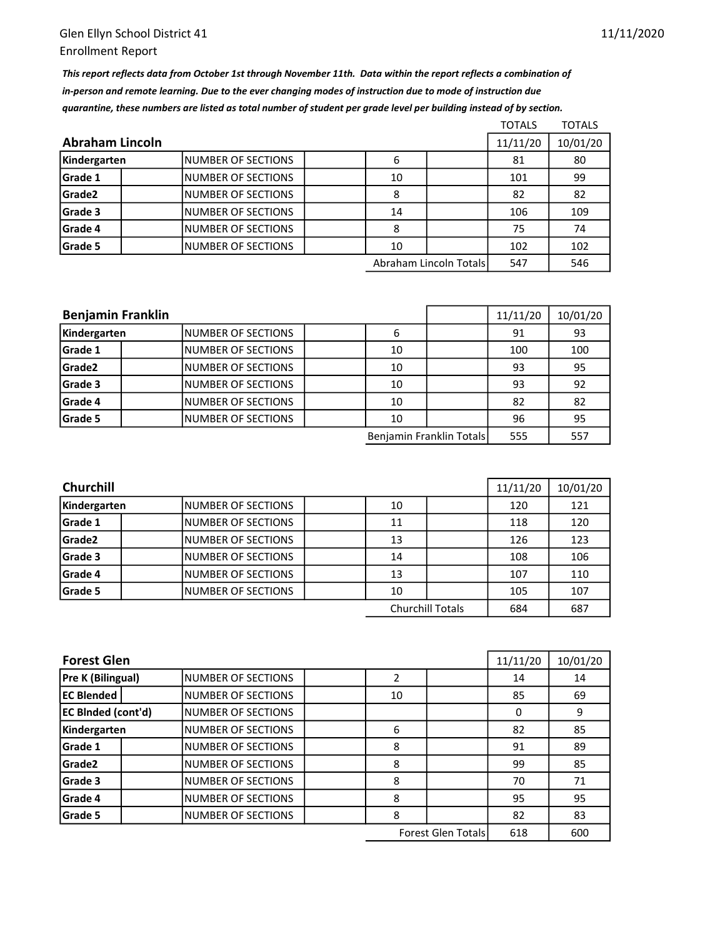This report reflects data from October 1st through November 11th. Data within the report reflects a combination of in-person and remote learning. Due to the ever changing modes of instruction due to mode of instruction due quarantine, these numbers are listed as total number of student per grade level per building instead of by section.

|                 |                           |  |    |                        | <b>TOTALS</b> | <b>TOTALS</b> |
|-----------------|---------------------------|--|----|------------------------|---------------|---------------|
| Abraham Lincoln |                           |  |    |                        |               | 10/01/20      |
| Kindergarten    | INUMBER OF SECTIONS       |  | 6  |                        | 81            | 80            |
| Grade 1         | <b>NUMBER OF SECTIONS</b> |  | 10 |                        | 101           | 99            |
| Grade2          | <b>NUMBER OF SECTIONS</b> |  | 8  |                        | 82            | 82            |
| Grade 3         | INUMBER OF SECTIONS       |  | 14 |                        | 106           | 109           |
| Grade 4         | <b>NUMBER OF SECTIONS</b> |  | 8  |                        | 75            | 74            |
| Grade 5         | INUMBER OF SECTIONS       |  | 10 |                        | 102           | 102           |
|                 |                           |  |    | Abraham Lincoln Totals | 547           | 546           |

| <b>Benjamin Franklin</b> |                           |  |    |                          | 11/11/20 | 10/01/20 |
|--------------------------|---------------------------|--|----|--------------------------|----------|----------|
| Kindergarten             | <b>NUMBER OF SECTIONS</b> |  | 6  |                          | 91       | 93       |
| Grade 1                  | <b>NUMBER OF SECTIONS</b> |  | 10 |                          | 100      | 100      |
| Grade <sub>2</sub>       | INUMBER OF SECTIONS       |  | 10 |                          | 93       | 95       |
| Grade 3                  | <b>NUMBER OF SECTIONS</b> |  | 10 |                          | 93       | 92       |
| Grade 4                  | INUMBER OF SECTIONS       |  | 10 |                          | 82       | 82       |
| Grade 5                  | <b>NUMBER OF SECTIONS</b> |  | 10 |                          | 96       | 95       |
|                          |                           |  |    | Benjamin Franklin Totals | 555      | 557      |

| <b>Churchill</b> | 11/11/20                  | 10/01/20 |                         |     |     |
|------------------|---------------------------|----------|-------------------------|-----|-----|
| Kindergarten     | <b>NUMBER OF SECTIONS</b> | 10       |                         | 120 | 121 |
| <b>Grade 1</b>   | INUMBER OF SECTIONS       | 11       |                         | 118 | 120 |
| Grade2           | INUMBER OF SECTIONS       | 13       |                         | 126 | 123 |
| Grade 3          | <b>NUMBER OF SECTIONS</b> | 14       |                         | 108 | 106 |
| <b>Grade 4</b>   | <b>NUMBER OF SECTIONS</b> | 13       |                         | 107 | 110 |
| Grade 5          | INUMBER OF SECTIONS       | 10       |                         | 105 | 107 |
|                  |                           |          | <b>Churchill Totals</b> | 684 | 687 |

| <b>Forest Glen</b>        |                           |    |                           | 11/11/20 | 10/01/20 |
|---------------------------|---------------------------|----|---------------------------|----------|----------|
| <b>Pre K (Bilingual)</b>  | <b>NUMBER OF SECTIONS</b> |    |                           | 14       | 14       |
| <b>EC Blended</b>         | <b>NUMBER OF SECTIONS</b> | 10 |                           | 85       | 69       |
| <b>EC BInded (cont'd)</b> | <b>NUMBER OF SECTIONS</b> |    |                           | 0        | 9        |
| Kindergarten              | <b>NUMBER OF SECTIONS</b> | 6  |                           | 82       | 85       |
| Grade 1                   | <b>NUMBER OF SECTIONS</b> | 8  |                           | 91       | 89       |
| Grade <sub>2</sub>        | <b>NUMBER OF SECTIONS</b> | 8  |                           | 99       | 85       |
| Grade 3                   | <b>NUMBER OF SECTIONS</b> | 8  |                           | 70       | 71       |
| Grade 4                   | <b>NUMBER OF SECTIONS</b> | 8  |                           | 95       | 95       |
| Grade 5                   | <b>NUMBER OF SECTIONS</b> | 8  |                           | 82       | 83       |
|                           |                           |    | <b>Forest Glen Totals</b> | 618      | 600      |